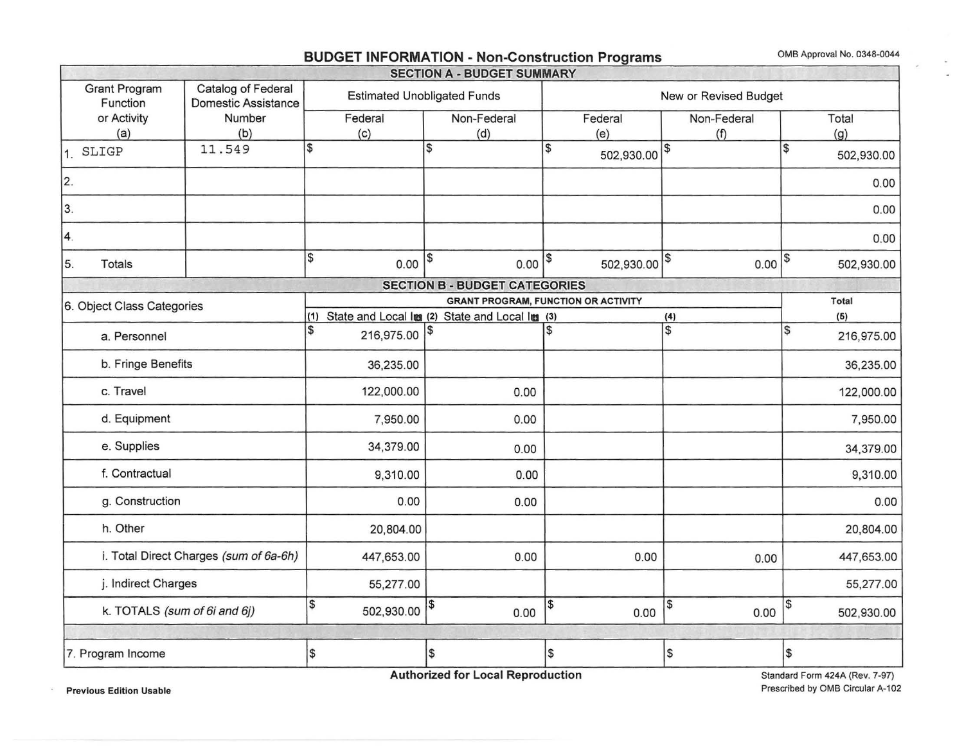# - **BUDGET INFORMATION** - **Non-Construction Programs** 0MB Approval No. 0348-0044

 $\sim$ 

|                                                  |                                           |                                                     | <b>SECTION A - BUDGET SUMMARY</b>                           |                                            |                    |                                        |  |  |  |
|--------------------------------------------------|-------------------------------------------|-----------------------------------------------------|-------------------------------------------------------------|--------------------------------------------|--------------------|----------------------------------------|--|--|--|
| <b>Grant Program</b><br>Function                 | Catalog of Federal<br>Domestic Assistance |                                                     | <b>Estimated Unobligated Funds</b><br>New or Revised Budget |                                            |                    |                                        |  |  |  |
| or Activity<br>(a)                               | Number<br>(b)                             | Federal<br>(c)                                      | Non-Federal<br>(d)                                          | Federal<br>(e)                             | Non-Federal<br>(f) | Total<br>(g)                           |  |  |  |
| 1. SLIGP                                         | 11.549                                    | \$                                                  | $\overline{\mathbf{3}}$                                     | \$<br>502,930.00                           |                    | $\overline{\mathcal{S}}$<br>502,930.00 |  |  |  |
| 2.                                               |                                           |                                                     |                                                             |                                            |                    | 0.00                                   |  |  |  |
| 3.                                               |                                           |                                                     |                                                             |                                            |                    | 0.00                                   |  |  |  |
| 4.                                               |                                           |                                                     |                                                             |                                            |                    | 0.00                                   |  |  |  |
| 5.<br><b>Totals</b>                              |                                           | \$<br>0.00                                          | 1\$<br>$0.00$ $ $ \$                                        | 502,930.00 \$                              | $0.00$ $ $         | 502,930.00                             |  |  |  |
|                                                  |                                           |                                                     | <b>SECTION B - BUDGET CATEGORIES</b>                        |                                            |                    |                                        |  |  |  |
| 6. Object Class Categories                       |                                           |                                                     |                                                             | <b>GRANT PROGRAM, FUNCTION OR ACTIVITY</b> |                    | Total                                  |  |  |  |
|                                                  |                                           | (1) State and Local lmg (2) State and Local lmg (3) |                                                             |                                            | (4)                | (5)                                    |  |  |  |
| a. Personnel                                     |                                           | \$<br>216,975.00 \$                                 |                                                             |                                            | \$                 | \$<br>216,975.00                       |  |  |  |
| b. Fringe Benefits                               |                                           | 36,235.00                                           |                                                             |                                            |                    | 36,235.00                              |  |  |  |
| c. Travel                                        |                                           | 122,000.00                                          | 0.00                                                        |                                            |                    | 122,000.00                             |  |  |  |
| d. Equipment                                     |                                           | 7,950.00                                            | 0.00                                                        |                                            | 7,950.00           |                                        |  |  |  |
| e. Supplies                                      |                                           | 34,379.00                                           | 0.00                                                        |                                            | 34,379.00          |                                        |  |  |  |
| f. Contractual                                   |                                           | 9,310.00                                            | 0.00                                                        |                                            | 9,310.00           |                                        |  |  |  |
| g. Construction                                  |                                           | 0.00                                                | 0.00                                                        |                                            |                    | 0.00                                   |  |  |  |
| h. Other                                         |                                           | 20,804.00                                           |                                                             |                                            |                    | 20,804.00                              |  |  |  |
|                                                  | i. Total Direct Charges (sum of 6a-6h)    | 447,653.00                                          | 0.00                                                        | 0.00                                       | 0.00               | 447,653.00                             |  |  |  |
| j. Indirect Charges                              |                                           | 55,277.00                                           |                                                             |                                            |                    | 55,277.00                              |  |  |  |
| \$<br>k. TOTALS (sum of 6i and 6j)<br>502,930.00 |                                           |                                                     | $\pmb{\$}$<br>0.00                                          | 5<br>0.00                                  | $\sqrt{3}$<br>0.00 | 1\$<br>502,930.00                      |  |  |  |
|                                                  |                                           |                                                     |                                                             |                                            |                    |                                        |  |  |  |
| 7. Program Income                                |                                           | $\mathfrak s$                                       | \$                                                          | \$                                         | $\frac{1}{2}$      | \$                                     |  |  |  |

**Authorized for Local Reproduction** 

Standard Form 424A (Rev. 7-97) Prescribed by 0MB Circular A-102

**Previous Edition Usable** 

 $\sim$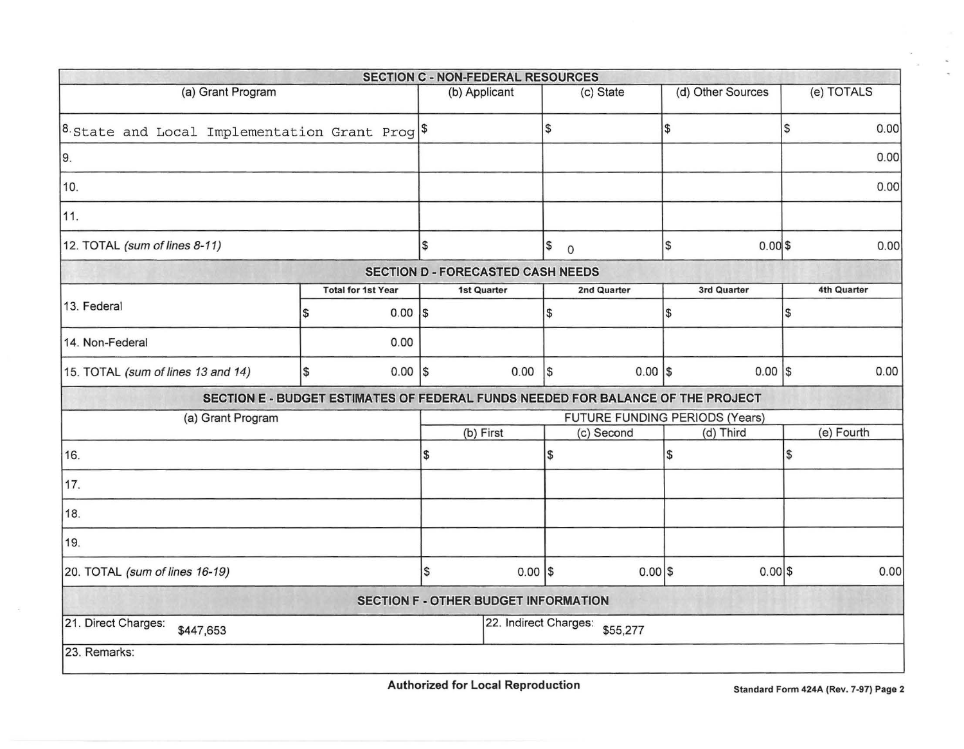|                                                     |               |                           | <b>SECTION C - NON-FEDERAL RESOURCES</b> |                       |                   |             |                                                                                 |     |             |
|-----------------------------------------------------|---------------|---------------------------|------------------------------------------|-----------------------|-------------------|-------------|---------------------------------------------------------------------------------|-----|-------------|
| (a) Grant Program                                   | (b) Applicant |                           |                                          | (c) State             | (d) Other Sources |             | (e) TOTALS                                                                      |     |             |
| $ 8$ State and Local Implementation Grant Prog $ 8$ |               |                           |                                          |                       | \$                |             | l S                                                                             | 5   | 0.00        |
| 9.                                                  |               |                           |                                          |                       |                   |             |                                                                                 |     | 0.00        |
| 10.                                                 |               |                           |                                          |                       |                   |             |                                                                                 |     | 0.00        |
| 11.                                                 |               |                           |                                          |                       |                   |             |                                                                                 |     |             |
| 12. TOTAL (sum of lines 8-11)                       | $\frac{3}{2}$ |                           | \$<br>$\circ$                            |                       | \$<br>0.00 \$     |             | 0.00                                                                            |     |             |
|                                                     |               |                           | <b>SECTION D - FORECASTED CASH NEEDS</b> |                       |                   |             |                                                                                 |     |             |
|                                                     |               | <b>Total for 1st Year</b> | 1st Quarter                              |                       |                   | 2nd Quarter | 3rd Quarter                                                                     |     | 4th Quarter |
| 13. Federal                                         | 1\$           | $0.00$  \$                |                                          |                       | 1\$               |             | \$                                                                              | \$  |             |
| 14. Non-Federal                                     |               | 0.00                      |                                          |                       |                   |             |                                                                                 |     |             |
| 15. TOTAL (sum of lines 13 and 14)                  | l\$           | $0.00$  \$                |                                          | 0.00                  | $\sqrt{3}$        | $0.00$  \$  | $0.00$ $\sqrt{s}$                                                               |     | 0.00        |
|                                                     |               |                           |                                          |                       |                   |             | SECTION E - BUDGET ESTIMATES OF FEDERAL FUNDS NEEDED FOR BALANCE OF THE PROJECT |     |             |
| (a) Grant Program                                   |               |                           |                                          |                       |                   |             | FUTURE FUNDING PERIODS (Years)                                                  |     |             |
|                                                     |               |                           | (b) First                                |                       |                   | (c) Second  | (d) Third                                                                       |     | (e) Fourth  |
| 16.                                                 |               |                           | \$                                       |                       | \$                |             | \$                                                                              | Ι\$ |             |
| 17.                                                 |               |                           |                                          |                       |                   |             |                                                                                 |     |             |
| 18.                                                 |               |                           |                                          |                       |                   |             |                                                                                 |     |             |
| 19.                                                 |               |                           |                                          |                       |                   |             |                                                                                 |     |             |
| 20. TOTAL (sum of lines 16-19)                      |               |                           | \$                                       | $0.00$ \$             |                   | $0.00$ \$   | $0.00$ \$                                                                       |     | 0.00        |
|                                                     |               |                           | SECTION F - OTHER BUDGET INFORMATION     |                       |                   |             |                                                                                 |     |             |
| 21. Direct Charges:<br>\$447,653                    |               |                           |                                          | 22. Indirect Charges: |                   | \$55,277    |                                                                                 |     |             |
| 23. Remarks:                                        |               |                           |                                          |                       |                   |             |                                                                                 |     |             |

 $\sim$ 

 $\sim$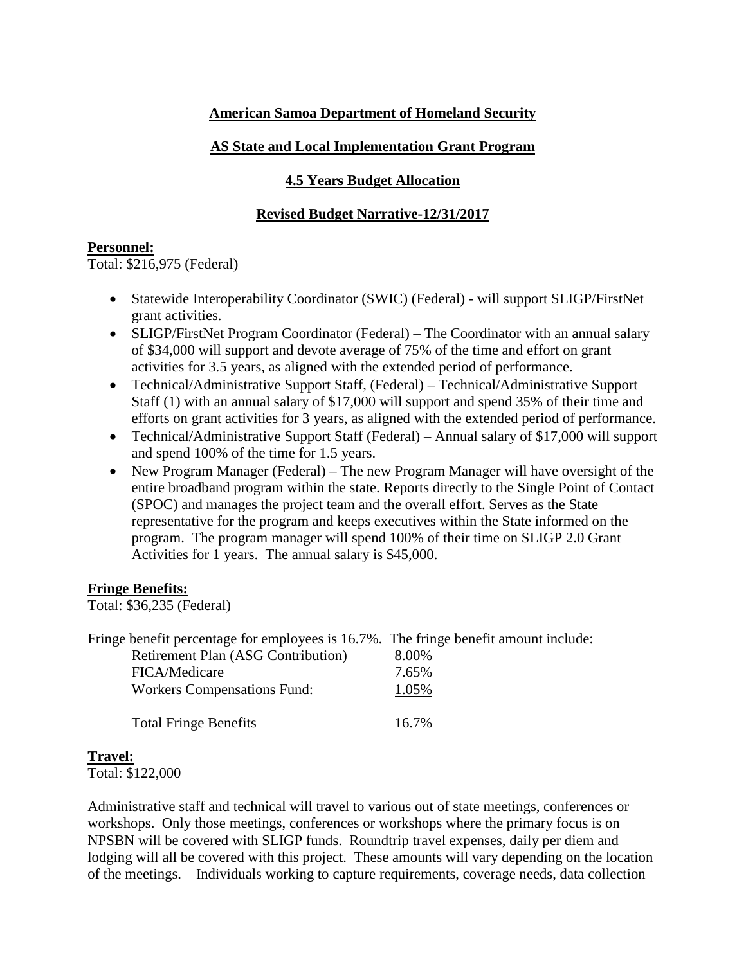# **American Samoa Department of Homeland Security**

# **AS State and Local Implementation Grant Program**

## **4.5 Years Budget Allocation**

# **Revised Budget Narrative-12/31/2017**

## **Personnel:**

Total: \$216,975 (Federal)

- Statewide Interoperability Coordinator (SWIC) (Federal) will support SLIGP/FirstNet grant activities.
- SLIGP/FirstNet Program Coordinator (Federal) The Coordinator with an annual salary of \$34,000 will support and devote average of 75% of the time and effort on grant activities for 3.5 years, as aligned with the extended period of performance.
- Technical/Administrative Support Staff, (Federal) Technical/Administrative Support Staff (1) with an annual salary of \$17,000 will support and spend 35% of their time and efforts on grant activities for 3 years, as aligned with the extended period of performance.
- Technical/Administrative Support Staff (Federal) Annual salary of \$17,000 will support and spend 100% of the time for 1.5 years.
- New Program Manager (Federal) The new Program Manager will have oversight of the entire broadband program within the state. Reports directly to the Single Point of Contact (SPOC) and manages the project team and the overall effort. Serves as the State representative for the program and keeps executives within the State informed on the program. The program manager will spend 100% of their time on SLIGP 2.0 Grant Activities for 1 years. The annual salary is \$45,000.

## **Fringe Benefits:**

Total: \$36,235 (Federal)

| Fringe benefit percentage for employees is 16.7%. The fringe benefit amount include: |          |
|--------------------------------------------------------------------------------------|----------|
| <b>Retirement Plan (ASG Contribution)</b>                                            | 8.00%    |
| FICA/Medicare                                                                        | 7.65%    |
| <b>Workers Compensations Fund:</b>                                                   | 1.05%    |
|                                                                                      |          |
| <b>Total Fringe Benefits</b>                                                         | $16.7\%$ |

## **Travel:**

Total: \$122,000

Administrative staff and technical will travel to various out of state meetings, conferences or workshops. Only those meetings, conferences or workshops where the primary focus is on NPSBN will be covered with SLIGP funds. Roundtrip travel expenses, daily per diem and lodging will all be covered with this project. These amounts will vary depending on the location of the meetings. Individuals working to capture requirements, coverage needs, data collection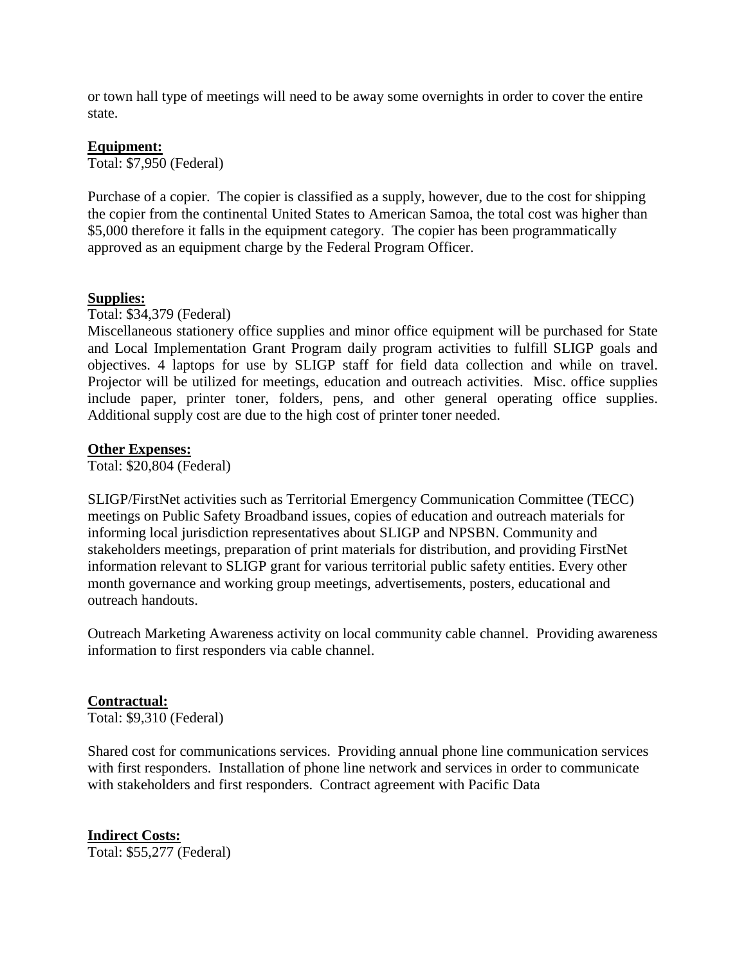or town hall type of meetings will need to be away some overnights in order to cover the entire state.

#### **Equipment:**

Total: \$7,950 (Federal)

Purchase of a copier. The copier is classified as a supply, however, due to the cost for shipping the copier from the continental United States to American Samoa, the total cost was higher than \$5,000 therefore it falls in the equipment category. The copier has been programmatically approved as an equipment charge by the Federal Program Officer.

#### **Supplies:**

Total: \$34,379 (Federal)

Miscellaneous stationery office supplies and minor office equipment will be purchased for State and Local Implementation Grant Program daily program activities to fulfill SLIGP goals and objectives. 4 laptops for use by SLIGP staff for field data collection and while on travel. Projector will be utilized for meetings, education and outreach activities. Misc. office supplies include paper, printer toner, folders, pens, and other general operating office supplies. Additional supply cost are due to the high cost of printer toner needed.

#### **Other Expenses:**

Total: \$20,804 (Federal)

SLIGP/FirstNet activities such as Territorial Emergency Communication Committee (TECC) meetings on Public Safety Broadband issues, copies of education and outreach materials for informing local jurisdiction representatives about SLIGP and NPSBN. Community and stakeholders meetings, preparation of print materials for distribution, and providing FirstNet information relevant to SLIGP grant for various territorial public safety entities. Every other month governance and working group meetings, advertisements, posters, educational and outreach handouts.

Outreach Marketing Awareness activity on local community cable channel. Providing awareness information to first responders via cable channel.

## **Contractual:**

Total: \$9,310 (Federal)

Shared cost for communications services. Providing annual phone line communication services with first responders. Installation of phone line network and services in order to communicate with stakeholders and first responders. Contract agreement with Pacific Data

**Indirect Costs:** Total: \$55,277 (Federal)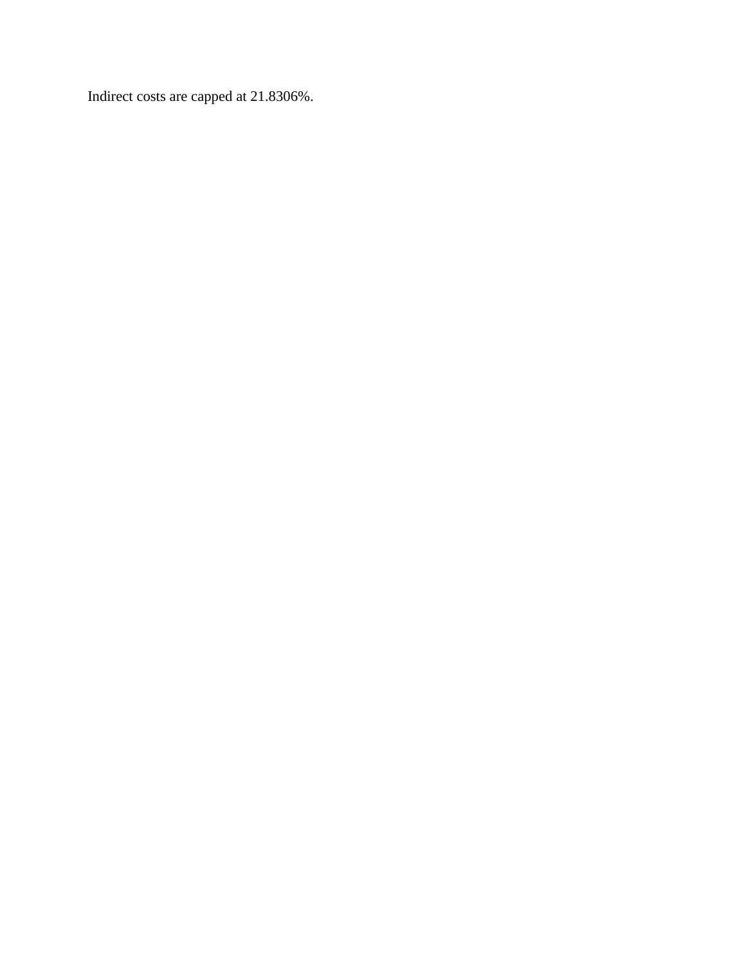Indirect costs are capped at 21.8306%.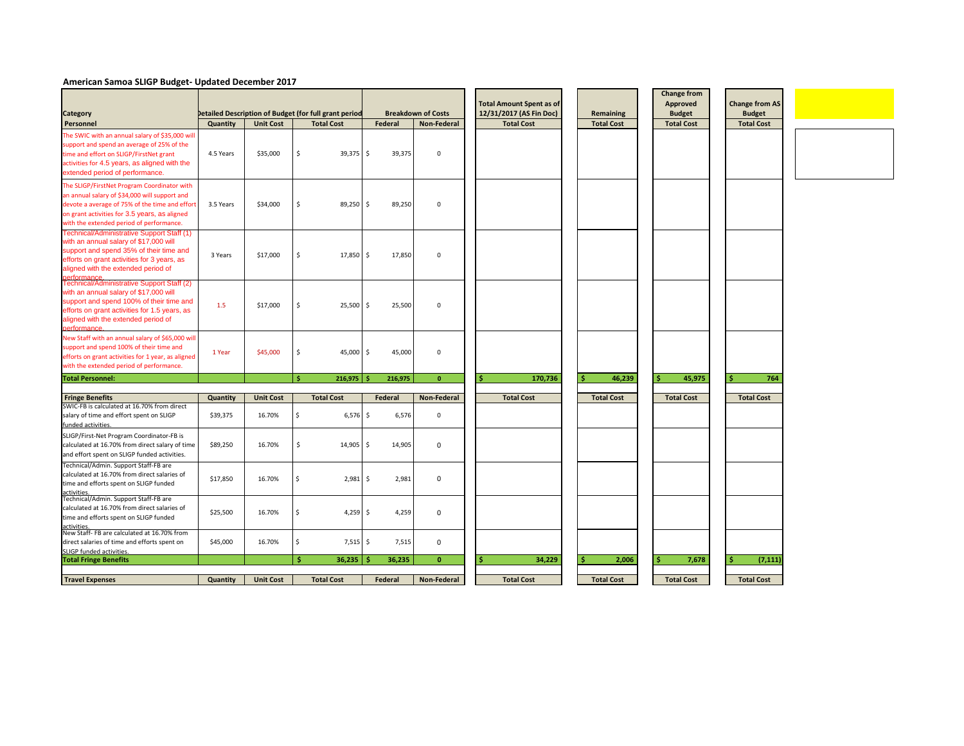# **American Samoa SLIGP Budget- Updated December 2017**



|                                                                                                                                                                                                                                             |                 |                  |     |                                                                            |    |                | <b>Breakdown of Costs</b> | <b>Total Amount Spent as of</b>              |                                       | <b>Change from</b><br><b>Approved</b> | <b>Change from AS</b>              |
|---------------------------------------------------------------------------------------------------------------------------------------------------------------------------------------------------------------------------------------------|-----------------|------------------|-----|----------------------------------------------------------------------------|----|----------------|---------------------------|----------------------------------------------|---------------------------------------|---------------------------------------|------------------------------------|
| <b>Category</b><br>Personnel                                                                                                                                                                                                                | <b>Quantity</b> | <b>Unit Cost</b> |     | Detailed Description of Budget (for full grant period<br><b>Total Cost</b> |    | <b>Federal</b> | <b>Non-Federal</b>        | 12/31/2017 (AS Fin Doc)<br><b>Total Cost</b> | <b>Remaining</b><br><b>Total Cost</b> | <b>Budget</b><br><b>Total Cost</b>    | <b>Budget</b><br><b>Total Cost</b> |
| The SWIC with an annual salary of \$35,000 will<br>support and spend an average of 25% of the<br>time and effort on SLIGP/FirstNet grant<br>activities for 4.5 years, as aligned with the<br>extended period of performance.                | 4.5 Years       | \$35,000         | \$  | $39,375$ \$                                                                |    | 39,375         | 0                         |                                              |                                       |                                       |                                    |
| The SLIGP/FirstNet Program Coordinator with<br>an annual salary of \$34,000 will support and<br>devote a average of 75% of the time and effort<br>on grant activities for 3.5 years, as aligned<br>with the extended period of performance. | 3.5 Years       | \$34,000         | \$  | 89,250 \$                                                                  |    | 89,250         | 0                         |                                              |                                       |                                       |                                    |
| Technical/Administrative Support Staff (1)<br>with an annual salary of \$17,000 will<br>support and spend 35% of their time and<br>efforts on grant activities for 3 years, as<br>aligned with the extended period of<br>performance.       | 3 Years         | \$17,000         | \$  | $17,850$ \$                                                                |    | 17,850         | 0                         |                                              |                                       |                                       |                                    |
| Technical/Administrative Support Staff (2)<br>with an annual salary of \$17,000 will<br>support and spend 100% of their time and<br>efforts on grant activities for 1.5 years, as<br>aligned with the extended period of<br>performance.    | 1.5             | \$17,000         | \$  | $25,500$ \$                                                                |    | 25,500         | 0                         |                                              |                                       |                                       |                                    |
| New Staff with an annual salary of \$65,000 will<br>support and spend 100% of their time and<br>efforts on grant activities for 1 year, as aligned<br>with the extended period of performance.                                              | 1 Year          | \$45,000         | \$  | $45,000$ \$                                                                |    | 45,000         | 0                         |                                              |                                       |                                       |                                    |
| <b>Total Personnel:</b>                                                                                                                                                                                                                     |                 |                  | -Ś. | 216,975                                                                    | Ŝ. | 216,975        | $\mathbf{0}$              | 170,736<br>-S                                | 46,239<br>-S                          | 45,975<br>-S                          | 764<br>-Ŝ                          |
|                                                                                                                                                                                                                                             |                 |                  |     |                                                                            |    |                |                           |                                              |                                       |                                       |                                    |
| <b>Fringe Benefits</b><br>SWIC-FB is calculated at 16.70% from direct                                                                                                                                                                       | Quantity        | <b>Unit Cost</b> |     | <b>Total Cost</b>                                                          |    | Federal        | <b>Non-Federal</b>        | <b>Total Cost</b>                            | <b>Total Cost</b>                     | <b>Total Cost</b>                     | <b>Total Cost</b>                  |
| salary of time and effort spent on SLIGP<br>funded activities.                                                                                                                                                                              | \$39,375        | 16.70%           | -\$ | $6,576$ \$                                                                 |    | 6,576          | 0                         |                                              |                                       |                                       |                                    |
| SLIGP/First-Net Program Coordinator-FB is<br>calculated at 16.70% from direct salary of time<br>and effort spent on SLIGP funded activities.                                                                                                | \$89,250        | 16.70%           | Ŝ.  | $14,905$ \$                                                                |    | 14,905         | 0                         |                                              |                                       |                                       |                                    |
| Technical/Admin. Support Staff-FB are<br>calculated at 16.70% from direct salaries of<br>time and efforts spent on SLIGP funded                                                                                                             | \$17,850        | 16.70%           |     | $2,981$ \$                                                                 |    | 2,981          | $\mathbf 0$               |                                              |                                       |                                       |                                    |
| activities.<br>Technical/Admin. Support Staff-FB are<br>calculated at 16.70% from direct salaries of<br>time and efforts spent on SLIGP funded<br>activities.                                                                               | \$25,500        | 16.70%           |     | $4,259$ \$                                                                 |    | 4,259          | $\mathbf 0$               |                                              |                                       |                                       |                                    |
| New Staff-FB are calculated at 16.70% from<br>direct salaries of time and efforts spent on<br>SLIGP funded activities.                                                                                                                      | \$45,000        | 16.70%           |     | $7,515$ \$                                                                 |    | 7,515          | $\mathbf 0$               |                                              |                                       |                                       |                                    |
| <b>Total Fringe Benefits</b>                                                                                                                                                                                                                |                 |                  | Ś.  | 36,235                                                                     | -Ś | 36,235         | $\mathbf{0}$              | 34,229<br>-S                                 | 2,006<br>-S                           | 7,678<br>\$                           | (7, 111)                           |
|                                                                                                                                                                                                                                             |                 |                  |     |                                                                            |    |                |                           |                                              |                                       |                                       |                                    |
| <b>Travel Expenses</b>                                                                                                                                                                                                                      | <b>Quantity</b> | <b>Unit Cost</b> |     | <b>Total Cost</b>                                                          |    | <b>Federal</b> | <b>Non-Federal</b>        | <b>Total Cost</b>                            | <b>Total Cost</b>                     | <b>Total Cost</b>                     | <b>Total Cost</b>                  |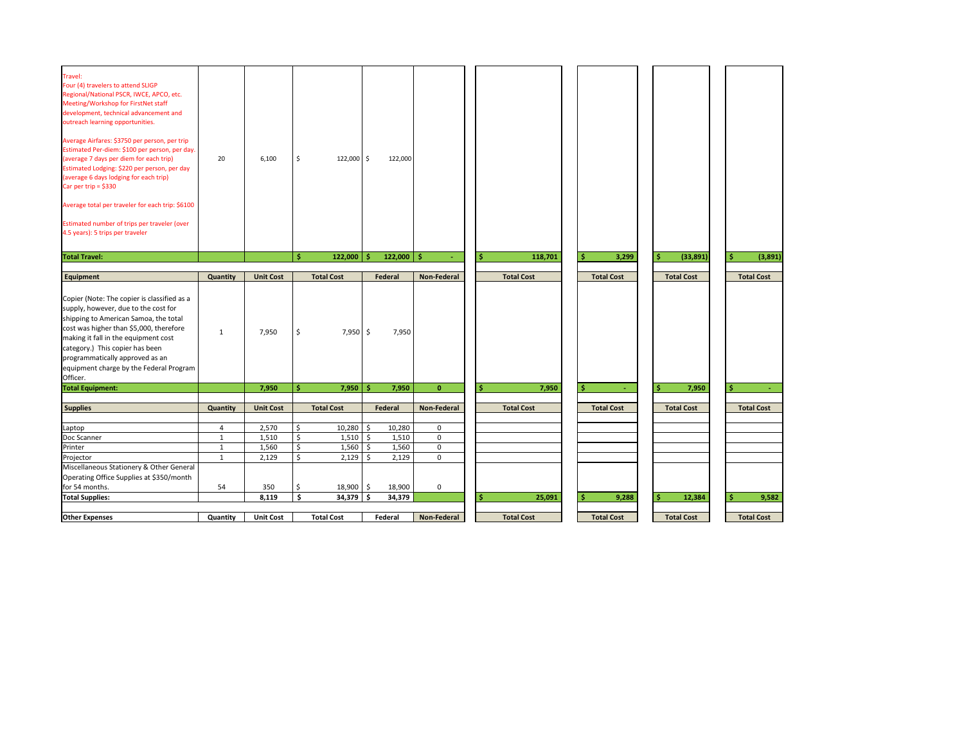| Travel:<br>Four (4) travelers to attend SLIGP<br>Regional/National PSCR, IWCE, APCO, etc.<br>Meeting/Workshop for FirstNet staff<br>development, technical advancement and<br>outreach learning opportunities.<br>Average Airfares: \$3750 per person, per trip<br>Estimated Per-diem: \$100 per person, per day.<br>(average 7 days per diem for each trip)<br>Estimated Lodging: \$220 per person, per day<br>(average 6 days lodging for each trip)<br>Car per trip = $$330$<br>Average total per traveler for each trip: \$6100<br>Estimated number of trips per traveler (over<br>4.5 years): 5 trips per traveler<br><b>Total Travel:</b> | 20              | 6,100            | -S<br>Ŝ. | $122,000$ \$<br>122,000 | Ŝ.      | 122,000<br>$122,000$ \$ |                     | 118,701<br>S                | 3,299                                 | (33,891)<br>Ŝ          | (3,891)                                  |
|-------------------------------------------------------------------------------------------------------------------------------------------------------------------------------------------------------------------------------------------------------------------------------------------------------------------------------------------------------------------------------------------------------------------------------------------------------------------------------------------------------------------------------------------------------------------------------------------------------------------------------------------------|-----------------|------------------|----------|-------------------------|---------|-------------------------|---------------------|-----------------------------|---------------------------------------|------------------------|------------------------------------------|
|                                                                                                                                                                                                                                                                                                                                                                                                                                                                                                                                                                                                                                                 |                 |                  |          |                         |         |                         |                     |                             |                                       |                        |                                          |
| Equipment                                                                                                                                                                                                                                                                                                                                                                                                                                                                                                                                                                                                                                       | Quantity        | <b>Unit Cost</b> |          | <b>Total Cost</b>       |         | Federal                 | <b>Non-Federal</b>  | <b>Total Cost</b>           | <b>Total Cost</b>                     | <b>Total Cost</b>      | <b>Total Cost</b>                        |
| Copier (Note: The copier is classified as a<br>supply, however, due to the cost for<br>shipping to American Samoa, the total<br>cost was higher than \$5,000, therefore<br>making it fall in the equipment cost<br>category.) This copier has been<br>programmatically approved as an<br>equipment charge by the Federal Program<br>Officer.                                                                                                                                                                                                                                                                                                    | 1               | 7,950            | \$       | $7,950$ \$              |         | 7,950                   |                     |                             |                                       |                        |                                          |
| <b>Total Equipment:</b>                                                                                                                                                                                                                                                                                                                                                                                                                                                                                                                                                                                                                         |                 | 7,950            | Ŝ.       | 7,950                   | Ŝ.      | 7,950                   | $\mathbf{0}$        | $\hat{\mathsf{S}}$<br>7,950 | $\ddot{\bm{\zeta}}$<br>$\blacksquare$ | $\frac{1}{2}$<br>7,950 | $\blacktriangleright$<br>$\sim$ 10 $\pm$ |
|                                                                                                                                                                                                                                                                                                                                                                                                                                                                                                                                                                                                                                                 |                 |                  |          |                         |         |                         |                     |                             |                                       |                        |                                          |
| <b>Supplies</b>                                                                                                                                                                                                                                                                                                                                                                                                                                                                                                                                                                                                                                 | <b>Quantity</b> | <b>Unit Cost</b> |          | <b>Total Cost</b>       |         | <b>Federal</b>          | <b>Non-Federal</b>  | <b>Total Cost</b>           | <b>Total Cost</b>                     | <b>Total Cost</b>      | <b>Total Cost</b>                        |
| Laptop                                                                                                                                                                                                                                                                                                                                                                                                                                                                                                                                                                                                                                          | 4               | 2,570            | \$       | 10,280                  | $\zeta$ | 10,280                  | $\mathbf 0$         |                             |                                       |                        |                                          |
| Doc Scanner                                                                                                                                                                                                                                                                                                                                                                                                                                                                                                                                                                                                                                     | 1               | 1,510            | Ŝ        | 1,510                   | \$      | 1,510                   | $\mathbf 0$         |                             |                                       |                        |                                          |
| Printer                                                                                                                                                                                                                                                                                                                                                                                                                                                                                                                                                                                                                                         | 1               | 1,560            |          | 1,560                   | \$      | 1,560                   | $\mathsf{O}\xspace$ |                             |                                       |                        |                                          |
| Projector                                                                                                                                                                                                                                                                                                                                                                                                                                                                                                                                                                                                                                       | $\mathbf{1}$    | 2,129            | \$       | 2,129                   | \$      | 2,129                   | $\mathbf 0$         |                             |                                       |                        |                                          |
| Miscellaneous Stationery & Other General                                                                                                                                                                                                                                                                                                                                                                                                                                                                                                                                                                                                        |                 |                  |          |                         |         |                         |                     |                             |                                       |                        |                                          |
| Operating Office Supplies at \$350/month                                                                                                                                                                                                                                                                                                                                                                                                                                                                                                                                                                                                        |                 |                  |          |                         |         |                         |                     |                             |                                       |                        |                                          |
| for 54 months.                                                                                                                                                                                                                                                                                                                                                                                                                                                                                                                                                                                                                                  | 54              | 350              | .S       | $18,900$ \$             |         | 18,900                  | $\mathsf{O}$        |                             |                                       |                        |                                          |
| <b>Total Supplies:</b>                                                                                                                                                                                                                                                                                                                                                                                                                                                                                                                                                                                                                          |                 | 8,119            | \$       | $34,379$ \$             |         | 34,379                  |                     | 25,091<br>S                 | 9,288<br>-\$                          | 12,384<br>\$           | -Ś<br>9,582                              |
|                                                                                                                                                                                                                                                                                                                                                                                                                                                                                                                                                                                                                                                 |                 |                  |          |                         |         |                         |                     |                             |                                       |                        |                                          |
| <b>Other Expenses</b>                                                                                                                                                                                                                                                                                                                                                                                                                                                                                                                                                                                                                           | Quantity        | <b>Unit Cost</b> |          | <b>Total Cost</b>       |         | Federal                 | <b>Non-Federal</b>  | <b>Total Cost</b>           | <b>Total Cost</b>                     | <b>Total Cost</b>      | <b>Total Cost</b>                        |